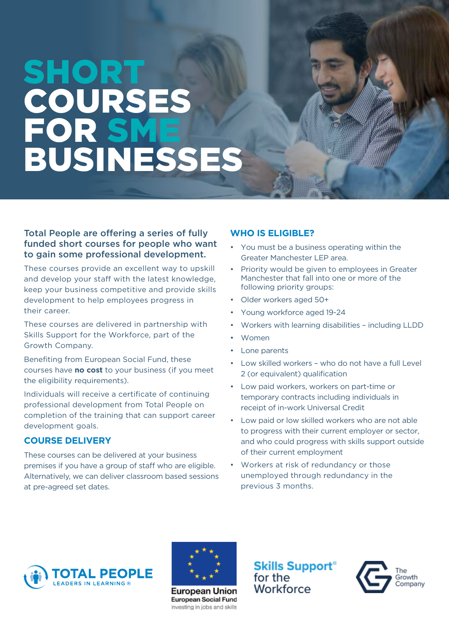# SHORT COURSES FOR SME BUSINESSES

#### Total People are offering a series of fully funded short courses for people who want to gain some professional development.

These courses provide an excellent way to upskill and develop your staff with the latest knowledge, keep your business competitive and provide skills development to help employees progress in their career.

These courses are delivered in partnership with Skills Support for the Workforce, part of the Growth Company.

Benefiting from European Social Fund, these courses have **no cost** to your business (if you meet the eligibility requirements).

Individuals will receive a certificate of continuing professional development from Total People on completion of the training that can support career development goals.

#### **COURSE DELIVERY**

These courses can be delivered at your business premises if you have a group of staff who are eligible. Alternatively, we can deliver classroom based sessions at pre-agreed set dates.

### **WHO IS ELIGIBLE?**

- You must be a business operating within the Greater Manchester LEP area.
- Priority would be given to employees in Greater Manchester that fall into one or more of the following priority groups:
- Older workers aged 50+
- Young workforce aged 19-24
- Workers with learning disabilities including LLDD
- Women
- Lone parents
- Low skilled workers who do not have a full Level 2 (or equivalent) qualification
- Low paid workers, workers on part-time or temporary contracts including individuals in receipt of in-work Universal Credit
- Low paid or low skilled workers who are not able to progress with their current employer or sector, and who could progress with skills support outside of their current employment
- Workers at risk of redundancy or those unemployed through redundancy in the previous 3 months.





**European Union** European Social Fund Investing in jobs and skills **Skills Support**<sup>®</sup> for the Workforce